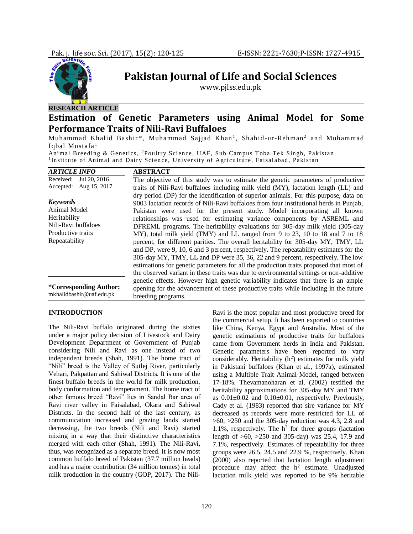

## **RESEARCH ARTICLE**

# **Estimation of Genetic Parameters using Animal Model for Some Performance Traits of Nili-Ravi Buffaloes**

**Pakistan Journal of Life and Social Sciences** www.pjlss.edu.pk

Muhammad Khalid Bashir\*, Muhammad Sajjad Khan<sup>1</sup>, Shahid-ur-Rehman<sup>2</sup> and Muhammad Iqbal Mustafa<sup>1</sup>

Animal Breeding & Genetics, <sup>2</sup>Poultry Science, UAF, Sub Campus Toba Tek Singh, Pakistan <sup>1</sup>Institute of Animal and Dairy Science, University of Agriculture, Faisalabad, Pakistan

| <b>ARTICLE INFO</b>                                       | <b>ABSTRACT</b>                                                                        |  |  |  |  |  |  |
|-----------------------------------------------------------|----------------------------------------------------------------------------------------|--|--|--|--|--|--|
| Received:<br>Jul 20, 2016                                 | The objective of this study was to estimate the genetic parameters of productive       |  |  |  |  |  |  |
| Accepted: Aug 15, 2017                                    | traits of Nili-Ravi buffaloes including milk yield (MY), lactation length (LL) and     |  |  |  |  |  |  |
|                                                           | dry period (DP) for the identification of superior animals. For this purpose, data on  |  |  |  |  |  |  |
| <b>Keywords</b>                                           | 9003 lactation records of Nili-Ravi buffaloes from four institutional herds in Punjab, |  |  |  |  |  |  |
| <b>Animal Model</b>                                       | Pakistan were used for the present study. Model incorporating all known                |  |  |  |  |  |  |
| Heritability                                              | relationships was used for estimating variance components by ASREML and                |  |  |  |  |  |  |
| Nili-Ravi buffaloes                                       | DFREML programs. The heritability evaluations for 305-day milk yield (305-day          |  |  |  |  |  |  |
| Productive traits                                         | MY), total milk yield (TMY) and LL ranged from 9 to 23, 10 to 18 and 7 to 18           |  |  |  |  |  |  |
| Repeatability                                             | percent, for different parities. The overall heritability for 305-day MY, TMY, LL      |  |  |  |  |  |  |
|                                                           | and DP, were 9, 10, 6 and 3 percent, respectively. The repeatability estimates for the |  |  |  |  |  |  |
|                                                           | 305-day MY, TMY, LL and DP were 35, 36, 22 and 9 percent, respectively. The low        |  |  |  |  |  |  |
|                                                           | estimations for genetic parameters for all the production traits proposed that most of |  |  |  |  |  |  |
|                                                           | the observed variant in these traits was due to environmental settings or non-additive |  |  |  |  |  |  |
| <i>*Corresponding Author:</i><br>mkhalidbashir@uaf.edu.pk | genetic effects. However high genetic variability indicates that there is an ample     |  |  |  |  |  |  |
|                                                           | opening for the advancement of these productive traits while including in the future   |  |  |  |  |  |  |
|                                                           | breeding programs.                                                                     |  |  |  |  |  |  |

## **INTRODUCTION**

The Nili-Ravi buffalo originated during the sixties under a major policy decision of Livestock and Dairy Development Department of Government of Punjab considering Nili and Ravi as one instead of two independent breeds (Shah, 1991). The home tract of "Nili" breed is the Valley of Sutlej River, particularly Vehari, Pakpattan and Sahiwal Districts. It is one of the finest buffalo breeds in the world for milk production, body conformation and temperament. The home tract of other famous breed "Ravi" lies in Sandal Bar area of Ravi river valley in Faisalabad, Okara and Sahiwal Districts. In the second half of the last century, as communication increased and grazing lands started decreasing, the two breeds (Nili and Ravi) started mixing in a way that their distinctive characteristics merged with each other (Shah, 1991). The Nili-Ravi, thus, was recognized as a separate breed. It is now most common buffalo breed of Pakistan (37.7 million heads) and has a major contribution (34 million tonnes) in total milk production in the country (GOP, 2017). The NiliRavi is the most popular and most productive breed for the commercial setup. It has been exported to countries like China, Kenya, Egypt and Australia. Most of the genetic estimations of productive traits for buffaloes came from Government herds in India and Pakistan. Genetic parameters have been reported to vary considerably. Heritability  $(h^2)$  estimates for milk yield in Pakistani buffaloes (Khan et al., 1997a), estimated using a Multiple Trait Animal Model, ranged between 17-18%. Thevamanoharan et al. (2002) testified the heritability approximations for 305-day MY and TMY as  $0.01 \pm 0.02$  and  $0.10 \pm 0.01$ , respectively. Previously, Cady et al. (1983) reported that sire variance for MY decreased as records were more restricted for LL of  $>60$ ,  $>250$  and the 305-day reduction was 4.3, 2.8 and 1.1%, respectively. The  $h^2$  for three groups (lactation length of >60, >250 and 305-day) was 25.4, 17.9 and 7.1%, respectively. Estimates of repeatability for three groups were 26.5, 24.5 and 22.9 %, respectively. Khan (2000) also reported that lactation length adjustment procedure may affect the  $h^2$  estimate. Unadjusted lactation milk yield was reported to be 9% heritable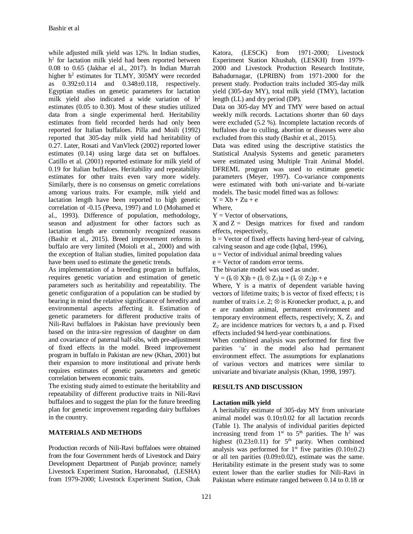while adjusted milk yield was 12%. In Indian studies, h<sup>2</sup> for lactation milk yield had been reported between 0.08 to 0.65 (Jakhar el al., 2017). In Indian Murrah higher h<sup>2</sup> estimates for TLMY, 305MY were recorded as 0.392±0.114 and 0.348±0.118, respectively. Egyptian studies on genetic parameters for lactation milk yield also indicated a wide variation of  $h^2$ estimates (0.05 to 0.30). Most of these studies utilized data from a single experimental herd. Heritability estimates from field recorded herds had only been reported for Italian buffaloes. Pilla and Moili (1992) reported that 305-day milk yield had heritability of 0.27. Later, Rosati and VanVleck (2002) reported lower estimates (0.14) using large data set on buffaloes. Catillo et al. (2001) reported estimate for milk yield of 0.19 for Italian buffaloes. Heritability and repeatability estimates for other traits even vary more widely. Similarly, there is no consensus on genetic correlations among various traits. For example, milk yield and lactation length have been reported to high genetic correlation of -0.15 (Peeva, 1997) and 1.0 (Mohamed et al., 1993). Difference of population, methodology, season and adjustment for other factors such as lactation length are commonly recognized reasons (Bashir et al., 2015). Breed improvement reforms in buffalo are very limited (Moioli et al., 2000) and with the exception of Italian studies, limited population data have been used to estimate the genetic trends.

As implementation of a breeding program in buffalos, requires genetic variation and estimation of genetic parameters such as heritability and repeatability. The genetic configuration of a population can be studied by bearing in mind the relative significance of heredity and environmental aspects affecting it. Estimation of genetic parameters for different productive traits of Nili-Ravi buffaloes in Pakistan have previously been based on the intra-sire regression of daughter on dam and covariance of paternal half-sibs, with pre-adjustment of fixed effects in the model. Breed improvement program in buffalo in Pakistan are new (Khan, 2001) but their expansion to more institutional and private herds requires estimates of genetic parameters and genetic correlation between economic traits.

The existing study aimed to estimate the heritability and repeatability of different productive traits in Nili-Ravi buffaloes and to suggest the plan for the future breeding plan for genetic improvement regarding dairy buffaloes in the country.

### **MATERIALS AND METHODS**

Production records of Nili-Ravi buffaloes were obtained from the four Government herds of Livestock and Dairy Development Department of Punjab province; namely Livestock Experiment Station, Haroonabad, (LESHA) from 1979-2000; Livestock Experiment Station, Chak

Katora, (LESCK) from 1971-2000; Livestock Experiment Station Khushab, (LESKH) from 1979- 2000 and Livestock Production Research Institute, Bahadurnagar, (LPRIBN) from 1971-2000 for the present study. Production traits included 305-day milk yield (305-day MY), total milk yield (TMY), lactation length (LL) and dry period (DP).

Data on 305-day MY and TMY were based on actual weekly milk records. Lactations shorter than 60 days were excluded (5.2 %). Incomplete lactation records of buffaloes due to culling, abortion or diseases were also excluded from this study (Bashir et al., 2015).

Data was edited using the descriptive statistics the Statistical Analysis Systems and genetic parameters were estimated using Multiple Trait Animal Model. DFREML program was used to estimate genetic parameters (Meyer, 1997). Co-variance components were estimated with both uni-variate and bi-variate models. The basic model fitted was as follows:

 $Y = Xb + Zu + e$ 

Where,

 $Y =$  Vector of observations,

 $X$  and  $Z =$  Design matrices for fixed and random effects, respectively,

 $b =$  Vector of fixed effects having herd-year of calving, calving season and age code (Iqbal, 1996),

 $u =$  Vector of individual animal breeding values

e = Vector of random error terms.

The bivariate model was used as under.

 $Y = (I_t \otimes X)b + (I_t \otimes Z_1)a + (I_t \otimes Z_2)p + e$ 

Where, Y is a matrix of dependent variable having vectors of lifetime traits; b is vector of fixed effects; t is number of traits i.e. 2;  $\otimes$  is Kronecker product, a, p, and e are random animal, permanent environment and temporary environment effects, respectively;  $X$ ,  $Z_1$  and  $Z_2$  are incidence matrices for vectors b, a and p. Fixed effects included 94 herd-year combinations.

When combined analysis was performed for first five parities 'u' in the model also had permanent environment effect. The assumptions for explanations of various vectors and matrices were similar to univariate and bivariate analysis (Khan, 1998, 1997).

#### **RESULTS AND DISCUSSION**

### **Lactation milk yield**

A heritability estimate of 305-day MY from univariate animal model was 0.10±0.02 for all lactation records (Table 1). The analysis of individual parities depicted increasing trend from  $1<sup>st</sup>$  to  $5<sup>th</sup>$  parities. The  $h<sup>2</sup>$  was highest  $(0.23 \pm 0.11)$  for  $5<sup>th</sup>$  parity. When combined analysis was performed for  $1<sup>st</sup>$  five parities  $(0.10\pm0.2)$ or all ten parities  $(0.09 \pm 0.02)$ , estimate was the same. Heritability estimate in the present study was to some extent lower than the earlier studies for Nili-Ravi in Pakistan where estimate ranged between 0.14 to 0.18 or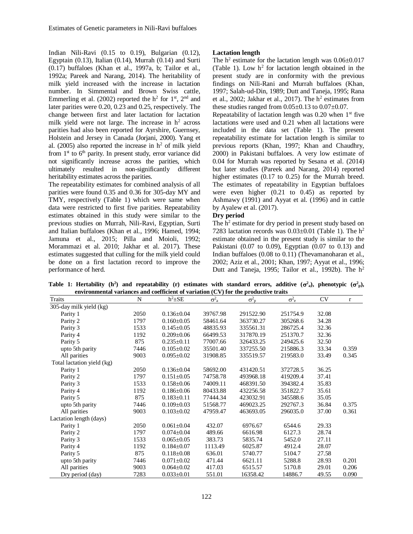Indian Nili-Ravi (0.15 to 0.19), Bulgarian (0.12), Egyptain (0.13), Italian (0.14), Murrah (0.14) and Surti (0.17) buffaloes (Khan et al., 1997a, b; Tailor et al., 1992a; Pareek and Narang, 2014). The heritability of milk yield increased with the increase in lactation number. In Simmental and Brown Swiss cattle, Emmerling et al. (2002) reported the  $h^2$  for  $1<sup>st</sup>$ ,  $2<sup>nd</sup>$  and later parities were 0.20, 0.23 and 0.25, respectively. The change between first and later lactation for lactation milk yield were not large. The increase in  $h^2$  across parities had also been reported for Ayrshire, Guernsey, Holstein and Jersey in Canada (Jorjani, 2000). Yang et al. (2005) also reported the increase in  $h<sup>2</sup>$  of milk yield from  $1<sup>st</sup>$  to  $6<sup>th</sup>$  parity. In present study, error variance did not significantly increase across the parities, which ultimately resulted in non-significantly different heritability estimates across the parities.

The repeatability estimates for combined analysis of all parities were found 0.35 and 0.36 for 305-day MY and TMY, respectively (Table 1) which were same when data were restricted to first five parities. Repeatability estimates obtained in this study were similar to the previous studies on Murrah, Nili-Ravi, Egyptian, Surti and Italian buffaloes (Khan et al.*,* 1996; Hamed, 1994; Jamuna et al., 2015; Pilla and Moioli, 1992; Morammazi et al. 2010; Jakhar et al. 2017). These estimates suggested that culling for the milk yield could be done on a first lactation record to improve the performance of herd.

### **Lactation length**

The  $h^2$  estimate for the lactation length was  $0.06 \pm 0.017$ (Table 1). Low  $h^2$  for lactation length obtained in the present study are in conformity with the previous findings on Nili-Rani and Murrah buffaloes (Khan, 1997; Salah-ud-Din, 1989; Dutt and Taneja, 1995; Rana et al., 2002; Jakhar et al., 2017). The  $h^2$  estimates from these studies ranged from  $0.05\pm0.13$  to  $0.07\pm0.07$ .

Repeatability of lactation length was  $0.20$  when  $1<sup>st</sup>$  five lactations were used and 0.21 when all lactations were included in the data set (Table 1). The present repeatability estimate for lactation length is similar to previous reports (Khan, 1997; Khan and Chaudhry, 2000) in Pakistani buffaloes. A very low estimate of 0.04 for Murrah was reported by Sesana et al. (2014) but later studies (Pareek and Narang, 2014) reported higher estimates (0.17 to 0.25) for the Murrah breed. The estimates of repeatability in Egyptian buffaloes were even higher (0.21 to 0.45) as reported by Ashmawy (1991) and Ayyat et al. (1996) and in cattle by Ayalew et al. (2017).

### **Dry period**

The  $h<sup>2</sup>$  estimate for dry period in present study based on 7283 lactation records was  $0.03\pm0.01$  (Table 1). The h<sup>2</sup> estimate obtained in the present study is similar to the Pakistani (0.07 to 0.09), Egyptian (0.07 to 0.13) and Indian buffaloes (0.08 to 0.11) (Thevamanoharan et al., 2002; Aziz et al., 2001; Khan, 1997; Ayyat et al., 1996; Dutt and Taneja, 1995; Tailor et al., 1992b). The  $h^2$ 

Table 1: Hertability (h<sup>2</sup>) and repeatability (r) estimates with standard errors, additive  $(\sigma^2_a)$ , phenotypic  $(\sigma^2_p)$ , **environmental variances and coefficient of variation (CV) for the productive traits**

| Traits                     | N    | $h^2 \pm SE$     | $\sigma^2$ <sub>a</sub> | $\sigma_{p}^{2}$ | $\sigma^2$ <sub>e</sub> | <b>CV</b> | r     |
|----------------------------|------|------------------|-------------------------|------------------|-------------------------|-----------|-------|
| 305-day milk yield (kg)    |      |                  |                         |                  |                         |           |       |
| Parity 1                   | 2050 | $0.136 \pm 0.04$ | 39767.98                | 291522.90        | 251754.9                | 32.08     |       |
| Parity 2                   | 1797 | $0.160 \pm 0.05$ | 58461.64                | 363730.27        | 305268.6                | 34.28     |       |
| Parity 3                   | 1533 | $0.145 \pm 0.05$ | 48835.93                | 335561.31        | 286725.4                | 32.36     |       |
| Parity 4                   | 1192 | $0.209 \pm 0.06$ | 66499.53                | 317870.19        | 251370.7                | 32.36     |       |
| Parity 5                   | 875  | $0.235 \pm 0.11$ | 77007.66                | 326433.25        | 249425.6                | 32.50     |       |
| upto 5th parity            | 7446 | $0.105 \pm 0.02$ | 35501.40                | 337255.50        | 215886.3                | 33.34     | 0.359 |
| All parities               | 9003 | $0.095 \pm 0.02$ | 31908.85                | 335519.57        | 219583.0                | 33.49     | 0.345 |
| Total lactation yield (kg) |      |                  |                         |                  |                         |           |       |
| Parity 1                   | 2050 | $0.136 \pm 0.04$ | 58692.00                | 431420.51        | 372728.5                | 36.25     |       |
| Parity 2                   | 1797 | $0.151 \pm 0.05$ | 74758.78                | 493968.18        | 419209.4                | 37.41     |       |
| Parity 3                   | 1533 | $0.158 \pm 0.06$ | 74009.11                | 468391.50        | 394382.4                | 35.83     |       |
| Parity 4                   | 1192 | $0.186 \pm 0.06$ | 80433.88                | 432256.58        | 351822.7                | 35.61     |       |
| Parity 5                   | 875  | $0.183 \pm 0.11$ | 77444.34                | 423032.91        | 345588.6                | 35.05     |       |
| upto 5th parity            | 7446 | $0.109 \pm 0.03$ | 51568.77                | 469023.25        | 292767.3                | 36.84     | 0.375 |
| All parities               | 9003 | $0.103 \pm 0.02$ | 47959.47                | 463693.05        | 296035.0                | 37.00     | 0.361 |
| Lactation length (days)    |      |                  |                         |                  |                         |           |       |
| Parity 1                   | 2050 | $0.061 \pm 0.04$ | 432.07                  | 6976.67          | 6544.6                  | 29.33     |       |
| Parity 2                   | 1797 | $0.074 \pm 0.04$ | 489.66                  | 6616.98          | 6127.3                  | 28.74     |       |
| Parity 3                   | 1533 | $0.065 \pm 0.05$ | 383.73                  | 5835.74          | 5452.0                  | 27.11     |       |
| Parity 4                   | 1192 | $0.184 \pm 0.07$ | 1113.49                 | 6025.87          | 4912.4                  | 28.07     |       |
| Parity 5                   | 875  | $0.118 \pm 0.08$ | 636.01                  | 5740.77          | 5104.7                  | 27.58     |       |
| upto 5th parity            | 7446 | $0.071 \pm 0.02$ | 471.44                  | 6621.11          | 5288.8                  | 28.93     | 0.201 |
| All parities               | 9003 | $0.064 \pm 0.02$ | 417.03                  | 6515.57          | 5170.8                  | 29.01     | 0.206 |
| Dry period (day)           | 7283 | $0.033 \pm 0.01$ | 551.01                  | 16358.42         | 14886.7                 | 49.55     | 0.090 |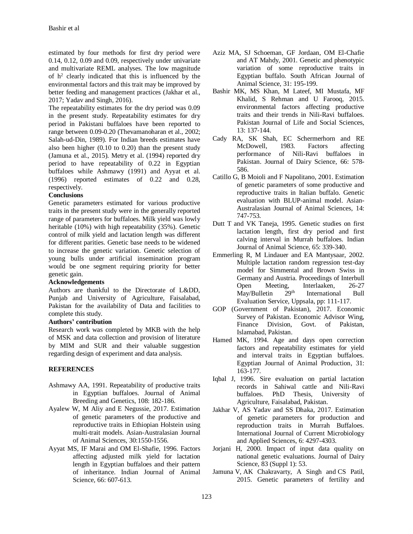estimated by four methods for first dry period were 0.14, 0.12, 0.09 and 0.09, respectively under univariate and multivariate REML analyses. The low magnitude of  $h^2$  clearly indicated that this is influenced by the environmental factors and this trait may be improved by better feeding and management practices (Jakhar et al., 2017; Yadav and Singh, 2016).

The repeatability estimates for the dry period was 0.09 in the present study. Repeatability estimates for dry period in Pakistani buffaloes have been reported to range between 0.09-0.20 (Thevamanoharan et al., 2002; Salah-ud-Din, 1989). For Indian breeds estimates have also been higher (0.10 to 0.20) than the present study (Jamuna et al., 2015). Metry et al. (1994) reported dry period to have repeatability of 0.22 in Egyptian buffaloes while Ashmawy (1991) and Ayyat et al. (1996) reported estimates of 0.22 and 0.28, respectively.

## **Conclusions**

Genetic parameters estimated for various productive traits in the present study were in the generally reported range of parameters for buffaloes. Milk yield was lowly heritable (10%) with high repeatability (35%). Genetic control of milk yield and lactation length was different for different parities. Genetic base needs to be widened to increase the genetic variation. Genetic selection of young bulls under artificial insemination program would be one segment requiring priority for better genetic gain.

## **Acknowledgements**

Authors are thankful to the Directorate of L&DD, Punjab and University of Agriculture, Faisalabad, Pakistan for the availability of Data and facilities to complete this study.

## **Authors' contribution**

Research work was completed by MKB with the help of MSK and data collection and provision of literature by MIM and SUR and their valuable suggestion regarding design of experiment and data analysis.

## **REFERENCES**

- Ashmawy AA, 1991. Repeatability of productive traits in Egyptian buffaloes. Journal of Animal Breeding and Genetics, 108: 182-186.
- Ayalew W, M Aliy and E Negussie, 2017. Estimation of genetic parameters of the productive and reproductive traits in Ethiopian Holstein using multi-trait models. Asian-Australasian Journal of Animal Sciences, 30:1550-1556.
- Ayyat MS, IF Marai and OM El-Shafie, 1996. Factors affecting adjusted milk yield for lactation length in Egyptian buffaloes and their pattern of inheritance. Indian Journal of Animal Science, 66: 607-613.
- Aziz MA, SJ Schoeman, GF Jordaan, OM El-Chafie and AT Mahdy, 2001. Genetic and phenotypic variation of some reproductive traits in Egyptian buffalo. South African Journal of Animal Science, 31: 195-199.
- Bashir MK, MS Khan, M Lateef, MI Mustafa, MF Khalid, S Rehman and U Farooq, 2015. environmental factors affecting productive traits and their trends in Nili-Ravi buffaloes. Pakistan Journal of Life and Social Sciences, 13: 137‐144.
- Cady RA, SK Shah, EC Schermerhorn and RE McDowell, 1983. Factors affecting performance of Nili-Ravi buffaloes in Pakistan. Journal of Dairy Science, 66: 578- 586.
- Catillo G, B Moioli and F Napolitano, 2001. Estimation of genetic parameters of some productive and reproductive traits in Italian buffalo. Genetic evaluation with BLUP-animal model. Asian-Australasian Journal of Animal Sciences, 14: 747-753.
- Dutt T and VK Taneja, 1995. Genetic studies on first lactation length, first dry period and first calving interval in Murrah buffaloes. Indian Journal of Animal Science, 65: 339-340.
- Emmerling R, M Lindauer and EA Mantysaar, 2002. Multiple lactation random regression test-day model for Simmental and Brown Swiss in Germany and Austria. Proceedings of Interbull Open Meeting, Interlaaken, 26-27<br>May/Bulletin 29<sup>th</sup> International Bull May/Bulletin 29<sup>th</sup> International Bull Evaluation Service, Uppsala, pp: 111-117.
- GOP (Government of Pakistan), 2017. Economic Survey of Pakistan. Economic Advisor Wing, Finance Division, Govt. of Pakistan, Islamabad, Pakistan.
- Hamed MK, 1994. Age and days open correction factors and repeatability estimates for yield and interval traits in Egyptian buffaloes. Egyptian Journal of Animal Production, 31: 163-177.
- Iqbal J, 1996. Sire evaluation on partial lactation records in Sahiwal cattle and Nili-Ravi buffaloes. PhD Thesis, University of Agriculture, Faisalabad, Pakistan.
- Jakhar V, AS Yadav and SS Dhaka, 2017. Estimation of genetic parameters for production and reproduction traits in Murrah Buffaloes. International Journal of Current Microbiology and Applied Sciences, 6: 4297-4303.
- Jorjani H, 2000. Impact of input data quality on national genetic evaluations. Journal of Dairy Science, 83 (Suppl 1): 53.
- Jamuna V, AK Chakravarty, A Singh and CS Patil, 2015. Genetic parameters of fertility and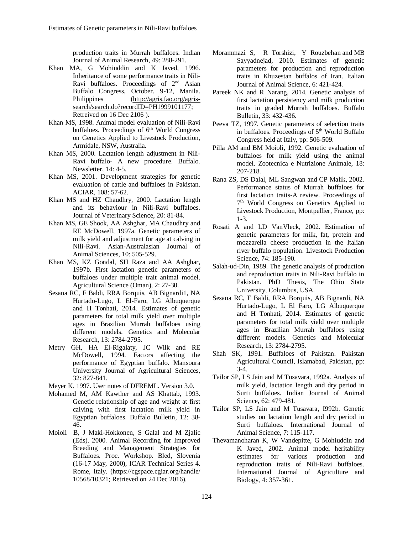production traits in Murrah buffaloes. Indian Journal of Animal Research, 49: 288-291.

- Khan MA, G Mohiuddin and K Javed, 1996. Inheritance of some performance traits in Nili-Ravi buffaloes. Proceedings of  $2<sup>nd</sup>$  Asian Buffalo Congress, October. 9-12, Manila. Philippines [\(http://agris.fao.org/agris](http://agris.fao.org/agris-search/search.do?recordID=PH1999101177)[search/search.do?recordID=PH1999101177;](http://agris.fao.org/agris-search/search.do?recordID=PH1999101177) Retreived on 16 Dec 2106 ).
- Khan MS, 1998. Animal model evaluation of Nili-Ravi buffaloes. Proceedings of 6<sup>th</sup> World Congress on Genetics Applied to Livestock Production, Armidale, NSW, Australia.
- Khan MS, 2000. Lactation length adjustment in Nili-Ravi buffalo- A new procedure. Buffalo. Newsletter, 14: 4-5.
- Khan MS, 2001. Development strategies for genetic evaluation of cattle and buffaloes in Pakistan. ACIAR, 108: 57-62.
- Khan MS and HZ Chaudhry, 2000. Lactation length and its behaviour in Nili-Ravi buffaloes. Journal of Veterinary Science, 20: 81-84.
- Khan MS, GE Shook, AA Ashghar, MA Chaudhry and RE McDowell, 1997a. Genetic parameters of milk yield and adjustment for age at calving in Nili-Ravi. Asian-Australasian Journal of Animal Sciences, 10: 505-529.
- Khan MS, KZ Gondal, SH Raza and AA Ashghar, 1997b. First lactation genetic parameters of buffaloes under multiple trait animal model. Agricultural Science (Oman), 2: 27-30.
- Sesana RC, F Baldi, RRA Borquis, AB Bignardi1, NA Hurtado-Lugo, L El-Faro, LG Albuquerque and H Tonhati, 2014. Estimates of genetic parameters for total milk yield over multiple ages in Brazilian Murrah buffaloes using different models. Genetics and Molecular Research, 13: 2784-2795.
- Metry GH, HA El-Rigalaty, JC Wilk and RE McDowell, 1994. Factors affecting the performance of Egyptian buffalo. Mansoura University Journal of Agricultural Sciences, 32: 827-841.
- Meyer K. 1997. User notes of DFREML. Version 3.0.
- Mohamed M, AM Kawther and AS Khattab, 1993. Genetic relationship of age and weight at first calving with first lactation milk yield in Egyptian buffaloes. Buffalo Bulletin, 12: 38- 46.
- Moioli B, J Maki-Hokkonen, S Galal and M Zjalic (Eds). 2000. Animal Recording for Improved Breeding and Management Strategies for Buffaloes. Proc. Workshop. Bled, Slovenia (16-17 May, 2000), ICAR Technical Series 4. Rome, Italy. (https://cgspace.cgiar.org/handle/ 10568/10321; Retrieved on 24 Dec 2016).
- [Morammazi](http://www.tandfonline.com/author/Morammazi%2C+S) S, [R Torshizi,](http://www.tandfonline.com/author/Torshizi%2C+R) Y [Rouzbehan](http://www.tandfonline.com/author/Rouzbehan%2C+Y) and [MB](http://www.tandfonline.com/author/Sayyadnejad%2C+MB)  [Sayyadnejad,](http://www.tandfonline.com/author/Sayyadnejad%2C+MB) 2010. Estimates of genetic parameters for production and reproduction traits in Khuzestan buffalos of Iran. Italian Journal of Animal Science, 6: 421-424.
- Pareek NK and R Narang, 2014. Genetic analysis of first lactation persistency and milk production traits in graded Murrah buffaloes. Buffalo Bulletin, 33: 432-436.
- Peeva TZ, 1997. Genetic parameters of selection traits in buffaloes. Proceedings of 5<sup>th</sup> World Buffalo Congress held at Italy, pp: 506-509.
- Pilla AM and BM Moioli, 1992. Genetic evaluation of buffaloes for milk yield using the animal model. Zootecnica e Nutrizione Animale, 18: 207-218.
- Rana ZS, DS Dalal, ML Sangwan and CP Malik, 2002. Performance status of Murrah buffaloes for first lactation traits-A review. Proceedings of 7 th World Congress on Genetics Applied to Livestock Production, Montpellier, France, pp: 1-3.
- Rosati A and LD VanVleck, 2002. Estimation of genetic parameters for milk, fat, protein and mozzarella cheese production in the Italian river buffalo population. Livestock Production Science, 74: 185-190.
- Salah-ud-Din, 1989. The genetic analysis of production and reproduction traits in Nili-Ravi buffalo in Pakistan. PhD Thesis, The Ohio State University, Columbus, USA.
- Sesana RC, F Baldi, RRA Borquis, AB Bignardi, NA Hurtado-Lugo, L El Faro, LG Albuquerque and H Tonhati, 2014. Estimates of genetic parameters for total milk yield over multiple ages in Brazilian Murrah buffaloes using different models. Genetics and Molecular Research, 13: 2784-2795.
- Shah SK, 1991. Buffaloes of Pakistan. Pakistan Agricultural Council, Islamabad, Pakistan, pp: 3-4.
- Tailor SP, LS Jain and M Tusavara, 1992a. Analysis of milk yield, lactation length and dry period in Surti buffaloes. Indian Journal of Animal Science, 62: 479-481.
- Tailor SP, LS Jain and M Tusavara, I992b. Genetic studies on lactation length and dry period in Surti buffaloes. International Journal of Animal Science, 7: 115-117.
- Thevamanoharan K, W Vandepitte, G Mohiuddin and K Javed, 2002. Animal model heritability estimates for various production and reproduction traits of Nili-Ravi buffaloes. International Journal of Agriculture and Biology, 4: 357-361.